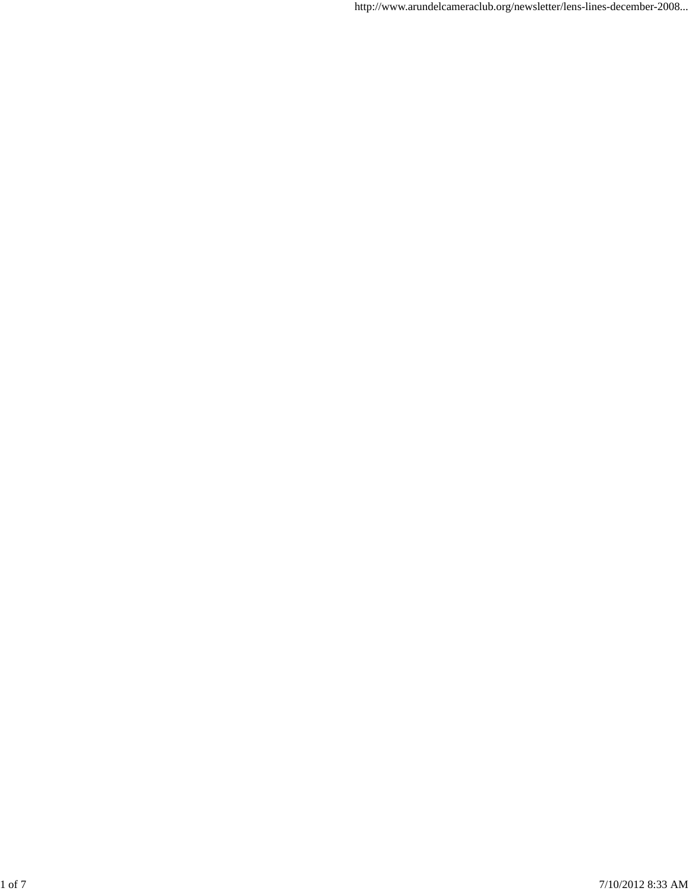http://www.arundelcameraclub.org/newsletter/lens-lines-december-2008...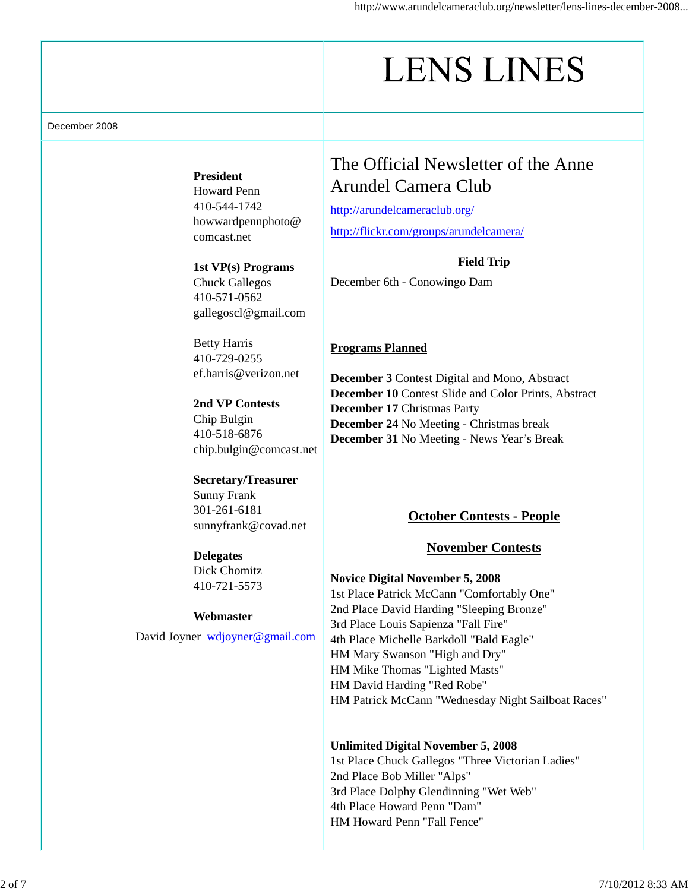# **LENS LINES**

December 2008

**President** Howard Penn 410-544-1742 howwardpennphoto@ comcast.net

**1st VP(s) Programs** Chuck Gallegos 410-571-0562 gallegoscl@gmail.com

Betty Harris 410-729-0255 ef.harris@verizon.net

**2nd VP Contests** Chip Bulgin 410-518-6876 chip.bulgin@comcast.net

**Secretary/Treasurer** Sunny Frank

301-261-6181 sunnyfrank@covad.net

**Delegates**

Dick Chomitz 410-721-5573

**Webmaster**

David Joyner wdjoyner@gmail.com

# The Official Newsletter of the Anne Arundel Camera Club

http://arundelcameraclub.org/ http://flickr.com/groups/arundelcamera/

# **Field Trip**

December 6th - Conowingo Dam

# **Programs Planned**

**December 3** Contest Digital and Mono, Abstract **December 10** Contest Slide and Color Prints, Abstract **December 17** Christmas Party **December 24** No Meeting - Christmas break **December 31** No Meeting - News Year's Break

# **October Contests - People**

# **November Contests**

**Novice Digital November 5, 2008**

1st Place Patrick McCann "Comfortably One" 2nd Place David Harding "Sleeping Bronze" 3rd Place Louis Sapienza "Fall Fire" 4th Place Michelle Barkdoll "Bald Eagle" HM Mary Swanson "High and Dry" HM Mike Thomas "Lighted Masts" HM David Harding "Red Robe" HM Patrick McCann "Wednesday Night Sailboat Races"

# **Unlimited Digital November 5, 2008**

1st Place Chuck Gallegos "Three Victorian Ladies" 2nd Place Bob Miller "Alps" 3rd Place Dolphy Glendinning "Wet Web" 4th Place Howard Penn "Dam" HM Howard Penn "Fall Fence"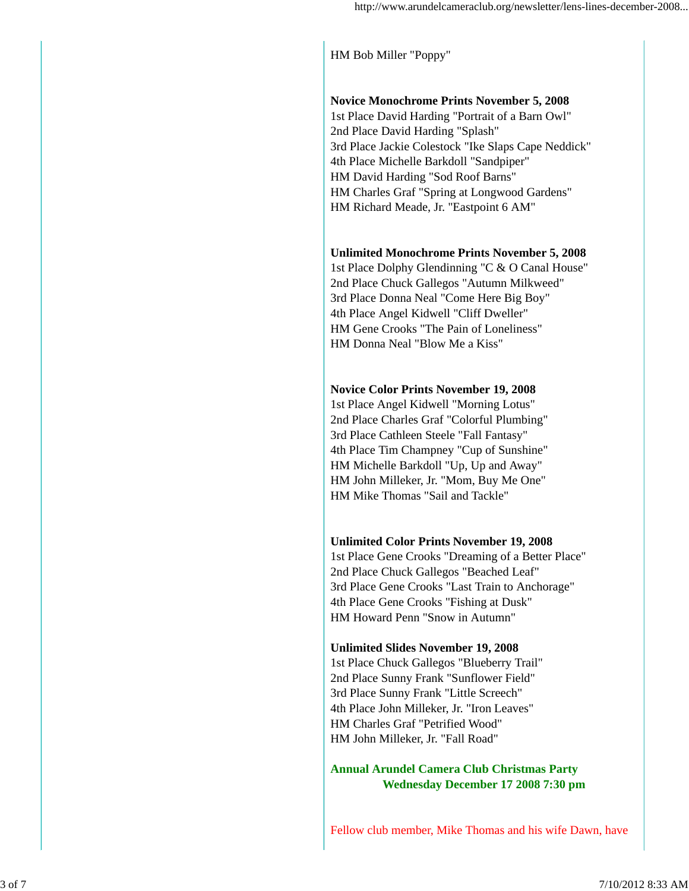HM Bob Miller "Poppy"

#### **Novice Monochrome Prints November 5, 2008**

1st Place David Harding "Portrait of a Barn Owl" 2nd Place David Harding "Splash" 3rd Place Jackie Colestock "Ike Slaps Cape Neddick" 4th Place Michelle Barkdoll "Sandpiper" HM David Harding "Sod Roof Barns" HM Charles Graf "Spring at Longwood Gardens" HM Richard Meade, Jr. "Eastpoint 6 AM"

#### **Unlimited Monochrome Prints November 5, 2008**

1st Place Dolphy Glendinning "C & O Canal House" 2nd Place Chuck Gallegos "Autumn Milkweed" 3rd Place Donna Neal "Come Here Big Boy" 4th Place Angel Kidwell "Cliff Dweller" HM Gene Crooks "The Pain of Loneliness" HM Donna Neal "Blow Me a Kiss"

#### **Novice Color Prints November 19, 2008**

1st Place Angel Kidwell "Morning Lotus" 2nd Place Charles Graf "Colorful Plumbing" 3rd Place Cathleen Steele "Fall Fantasy" 4th Place Tim Champney "Cup of Sunshine" HM Michelle Barkdoll "Up, Up and Away" HM John Milleker, Jr. "Mom, Buy Me One" HM Mike Thomas "Sail and Tackle"

#### **Unlimited Color Prints November 19, 2008**

1st Place Gene Crooks "Dreaming of a Better Place" 2nd Place Chuck Gallegos "Beached Leaf" 3rd Place Gene Crooks "Last Train to Anchorage" 4th Place Gene Crooks "Fishing at Dusk" HM Howard Penn "Snow in Autumn"

#### **Unlimited Slides November 19, 2008**

1st Place Chuck Gallegos "Blueberry Trail" 2nd Place Sunny Frank "Sunflower Field" 3rd Place Sunny Frank "Little Screech" 4th Place John Milleker, Jr. "Iron Leaves" HM Charles Graf "Petrified Wood" HM John Milleker, Jr. "Fall Road"

**Annual Arundel Camera Club Christmas Party Wednesday December 17 2008 7:30 pm**

Fellow club member, Mike Thomas and his wife Dawn, have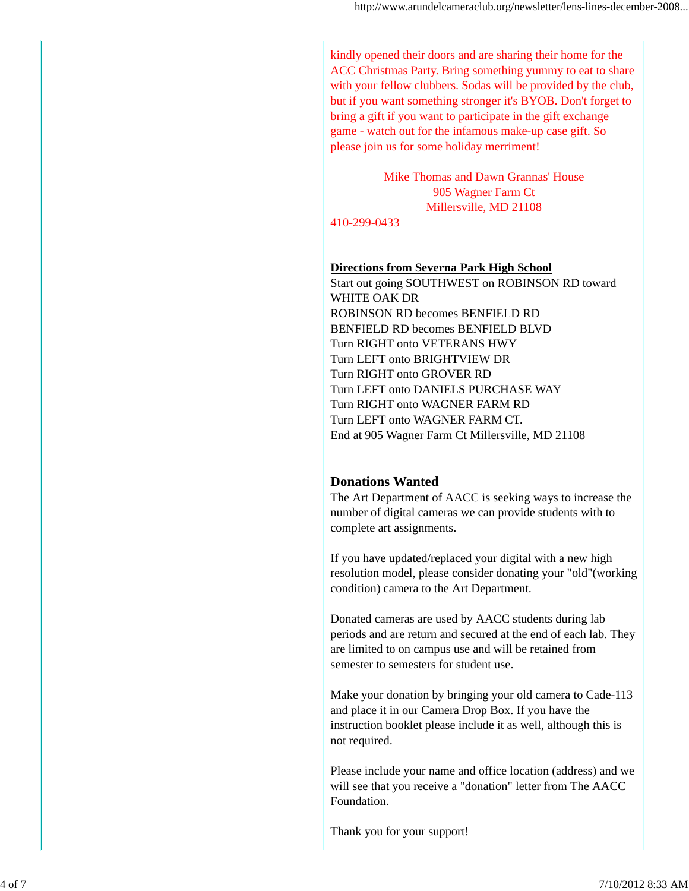kindly opened their doors and are sharing their home for the ACC Christmas Party. Bring something yummy to eat to share with your fellow clubbers. Sodas will be provided by the club, but if you want something stronger it's BYOB. Don't forget to bring a gift if you want to participate in the gift exchange game - watch out for the infamous make-up case gift. So please join us for some holiday merriment!

> Mike Thomas and Dawn Grannas' House 905 Wagner Farm Ct Millersville, MD 21108

410-299-0433

#### **Directions from Severna Park High School**

Start out going SOUTHWEST on ROBINSON RD toward WHITE OAK DR ROBINSON RD becomes BENFIELD RD BENFIELD RD becomes BENFIELD BLVD Turn RIGHT onto VETERANS HWY Turn LEFT onto BRIGHTVIEW DR Turn RIGHT onto GROVER RD Turn LEFT onto DANIELS PURCHASE WAY Turn RIGHT onto WAGNER FARM RD Turn LEFT onto WAGNER FARM CT. End at 905 Wagner Farm Ct Millersville, MD 21108

# **Donations Wanted**

The Art Department of AACC is seeking ways to increase the number of digital cameras we can provide students with to complete art assignments.

If you have updated/replaced your digital with a new high resolution model, please consider donating your "old"(working condition) camera to the Art Department.

Donated cameras are used by AACC students during lab periods and are return and secured at the end of each lab. They are limited to on campus use and will be retained from semester to semesters for student use.

Make your donation by bringing your old camera to Cade-113 and place it in our Camera Drop Box. If you have the instruction booklet please include it as well, although this is not required.

Please include your name and office location (address) and we will see that you receive a "donation" letter from The AACC Foundation.

Thank you for your support!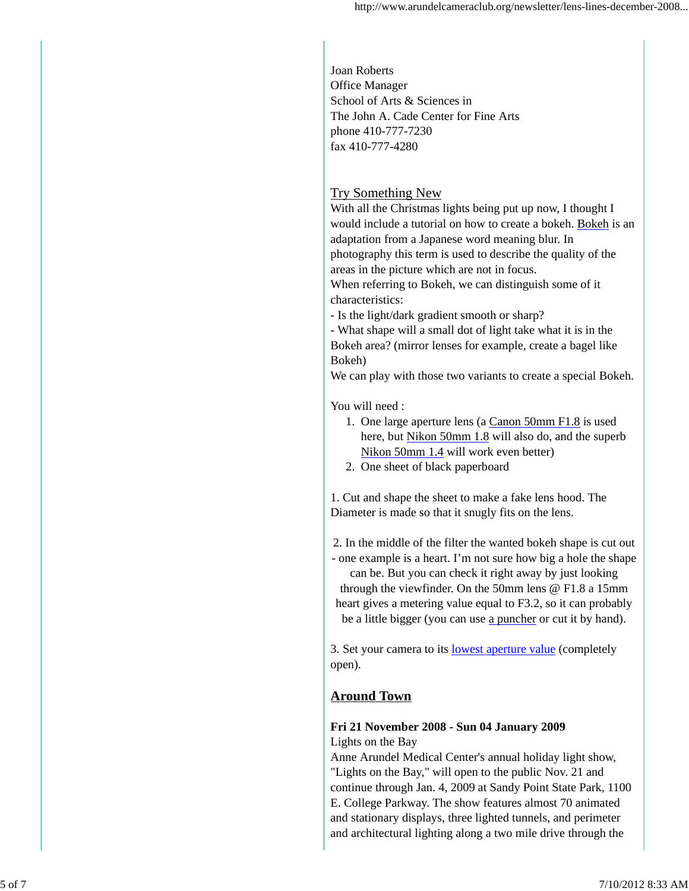Joan Roberts Office Manager School of Arts & Sciences in The John A. Cade Center for Fine Arts phone 410-777-7230 fax 410-777-4280

#### Try Something New

With all the Christmas lights being put up now, I thought I would include a tutorial on how to create a bokeh. Bokeh is an adaptation from a Japanese word meaning blur. In photography this term is used to describe the quality of the areas in the picture which are not in focus. When referring to Bokeh, we can distinguish some of it

characteristics:

- Is the light/dark gradient smooth or sharp?

- What shape will a small dot of light take what it is in the Bokeh area? (mirror lenses for example, create a bagel like Bokeh)

We can play with those two variants to create a special Bokeh.

You will need :

- 1. One large aperture lens (a Canon 50mm F1.8 is used here, but Nikon 50mm 1.8 will also do, and the superb Nikon 50mm 1.4 will work even better)
- 2. One sheet of black paperboard

1. Cut and shape the sheet to make a fake lens hood. The Diameter is made so that it snugly fits on the lens.

2. In the middle of the filter the wanted bokeh shape is cut out - one example is a heart. I'm not sure how big a hole the shape can be. But you can check it right away by just looking through the viewfinder. On the 50mm lens @ F1.8 a 15mm heart gives a metering value equal to F3.2, so it can probably be a little bigger (you can use a puncher or cut it by hand).

3. Set your camera to its lowest aperture value (completely open).

# **Around Town**

#### **Fri 21 November 2008 - Sun 04 January 2009** Lights on the Bay

Anne Arundel Medical Center's annual holiday light show, "Lights on the Bay," will open to the public Nov. 21 and continue through Jan. 4, 2009 at Sandy Point State Park, 1100 E. College Parkway. The show features almost 70 animated and stationary displays, three lighted tunnels, and perimeter and architectural lighting along a two mile drive through the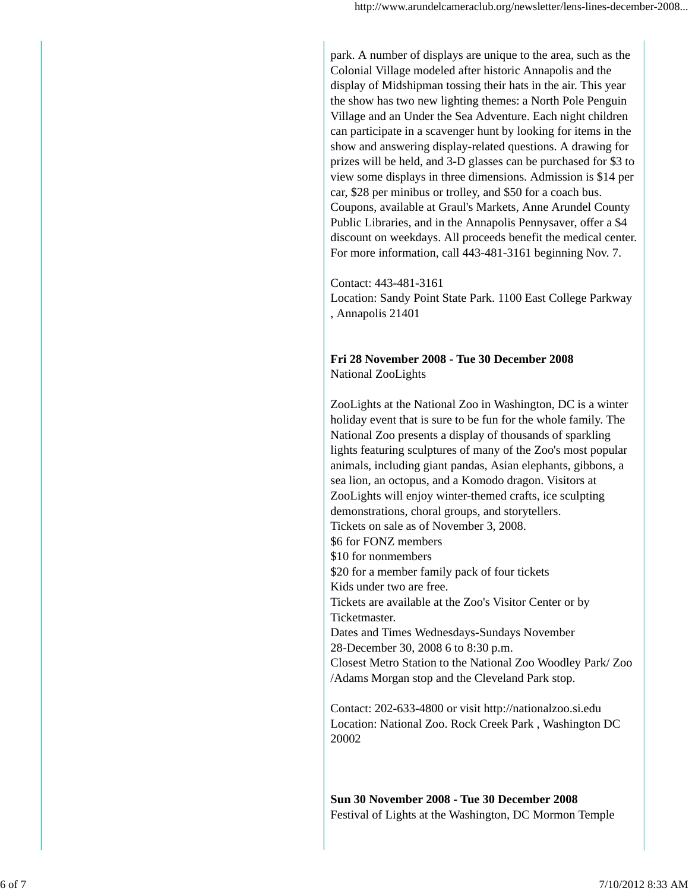park. A number of displays are unique to the area, such as the Colonial Village modeled after historic Annapolis and the display of Midshipman tossing their hats in the air. This year the show has two new lighting themes: a North Pole Penguin Village and an Under the Sea Adventure. Each night children can participate in a scavenger hunt by looking for items in the show and answering display-related questions. A drawing for prizes will be held, and 3-D glasses can be purchased for \$3 to view some displays in three dimensions. Admission is \$14 per car, \$28 per minibus or trolley, and \$50 for a coach bus. Coupons, available at Graul's Markets, Anne Arundel County Public Libraries, and in the Annapolis Pennysaver, offer a \$4 discount on weekdays. All proceeds benefit the medical center. For more information, call 443-481-3161 beginning Nov. 7.

Contact: 443-481-3161

Location: Sandy Point State Park. 1100 East College Parkway , Annapolis 21401

#### **Fri 28 November 2008 - Tue 30 December 2008** National ZooLights

ZooLights at the National Zoo in Washington, DC is a winter holiday event that is sure to be fun for the whole family. The National Zoo presents a display of thousands of sparkling lights featuring sculptures of many of the Zoo's most popular animals, including giant pandas, Asian elephants, gibbons, a sea lion, an octopus, and a Komodo dragon. Visitors at ZooLights will enjoy winter-themed crafts, ice sculpting demonstrations, choral groups, and storytellers. Tickets on sale as of November 3, 2008. \$6 for FONZ members \$10 for nonmembers \$20 for a member family pack of four tickets Kids under two are free. Tickets are available at the Zoo's Visitor Center or by Ticketmaster. Dates and Times Wednesdays-Sundays November 28-December 30, 2008 6 to 8:30 p.m. Closest Metro Station to the National Zoo Woodley Park/ Zoo /Adams Morgan stop and the Cleveland Park stop. Contact: 202-633-4800 or visit http://nationalzoo.si.edu

Location: National Zoo. Rock Creek Park , Washington DC 20002

**Sun 30 November 2008 - Tue 30 December 2008** Festival of Lights at the Washington, DC Mormon Temple